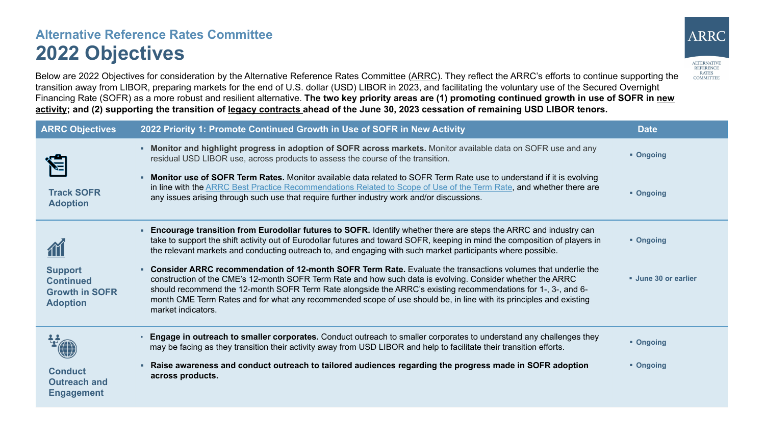## **Alternative Reference Rates Committee 2022 Objectives**



Below are 2022 Objectives for consideration by the Alternative Reference Rates Committee ([ARRC\)](https://www.newyorkfed.org/arrc/index.html). They reflect the ARRC's efforts to continue supporting the transition away from LIBOR, preparing markets for the end of U.S. dollar (USD) LIBOR in 2023, and facilitating the voluntary use of the Secured Overnight Financing Rate (SOFR) as a more robust and resilient alternative. The two key priority areas are (1) promoting continued growth in use of SOFR in new **activity; and (2) supporting the transition of legacy contracts ahead of the June 30, 2023 cessation of remaining USD LIBOR tenors.**

| <b>ARRC Objectives</b>                                                         | 2022 Priority 1: Promote Continued Growth in Use of SOFR in New Activity                                                                                                                                                                                                                                                                                                                                                                                                                | <b>Date</b>       |
|--------------------------------------------------------------------------------|-----------------------------------------------------------------------------------------------------------------------------------------------------------------------------------------------------------------------------------------------------------------------------------------------------------------------------------------------------------------------------------------------------------------------------------------------------------------------------------------|-------------------|
|                                                                                | • Monitor and highlight progress in adoption of SOFR across markets. Monitor available data on SOFR use and any<br>residual USD LIBOR use, across products to assess the course of the transition.                                                                                                                                                                                                                                                                                      | • Ongoing         |
| <b>Track SOFR</b><br><b>Adoption</b>                                           | <b>Monitor use of SOFR Term Rates.</b> Monitor available data related to SOFR Term Rate use to understand if it is evolving<br>٠.<br>in line with the ARRC Best Practice Recommendations Related to Scope of Use of the Term Rate, and whether there are<br>any issues arising through such use that require further industry work and/or discussions.                                                                                                                                  | • Ongoing         |
|                                                                                | Encourage transition from Eurodollar futures to SOFR. Identify whether there are steps the ARRC and industry can<br>take to support the shift activity out of Eurodollar futures and toward SOFR, keeping in mind the composition of players in<br>the relevant markets and conducting outreach to, and engaging with such market participants where possible.                                                                                                                          | • Ongoing         |
| <b>Support</b><br><b>Continued</b><br><b>Growth in SOFR</b><br><b>Adoption</b> | Consider ARRC recommendation of 12-month SOFR Term Rate. Evaluate the transactions volumes that underlie the<br>construction of the CME's 12-month SOFR Term Rate and how such data is evolving. Consider whether the ARRC<br>should recommend the 12-month SOFR Term Rate alongside the ARRC's existing recommendations for 1-, 3-, and 6-<br>month CME Term Rates and for what any recommended scope of use should be, in line with its principles and existing<br>market indicators. | Une 30 or earlier |
|                                                                                | Engage in outreach to smaller corporates. Conduct outreach to smaller corporates to understand any challenges they<br>may be facing as they transition their activity away from USD LIBOR and help to facilitate their transition efforts.                                                                                                                                                                                                                                              | • Ongoing         |
| <b>Conduct</b><br><b>Outreach and</b><br><b>Engagement</b>                     | Raise awareness and conduct outreach to tailored audiences regarding the progress made in SOFR adoption<br>across products.                                                                                                                                                                                                                                                                                                                                                             | • Ongoing         |